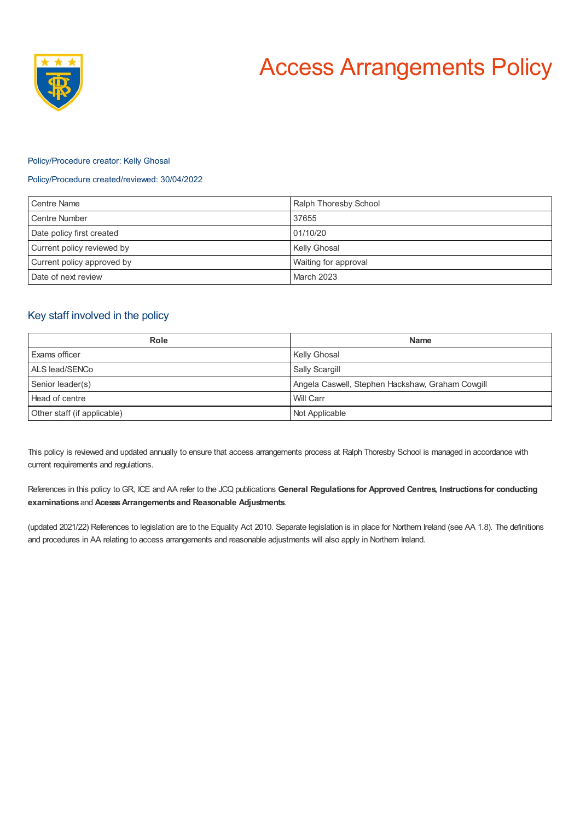

## Policy/Procedure creator: Kelly Ghosal

# Policy/Procedure created/reviewed: 30/04/2022

| Centre Name                | Ralph Thoresby School |
|----------------------------|-----------------------|
| Centre Number              | 37655                 |
| Date policy first created  | 01/10/20              |
| Current policy reviewed by | Kelly Ghosal          |
| Current policy approved by | Waiting for approval  |
| Date of next review        | <b>March 2023</b>     |

# Key staff involved in the policy

| Role                        | <b>Name</b>                                      |
|-----------------------------|--------------------------------------------------|
| Exams officer               | <b>Kelly Ghosal</b>                              |
| ALS lead/SENCo              | Sally Scargill                                   |
| Senior leader(s)            | Angela Caswell, Stephen Hackshaw, Graham Cowgill |
| Head of centre              | Will Carr                                        |
| Other staff (if applicable) | Not Applicable                                   |

This policy is reviewed and updated annually to ensure that access arrangements process at Ralph Thoresby School is managed in accordance with current requirements and regulations.

References in this policy to GR, ICE and AA refer to the JCQ publications **General Regulations for Approved Centres, Instructions for conducting examinations** and **AcesssArrangements and Reasonable Adjustments**.

(updated 2021/22) References to legislation are to the Equality Act 2010. Separate legislation is in place for Northern Ireland (see AA 1.8). The definitions and procedures in AA relating to access arrangements and reasonable adjustments will also apply in Northern Ireland.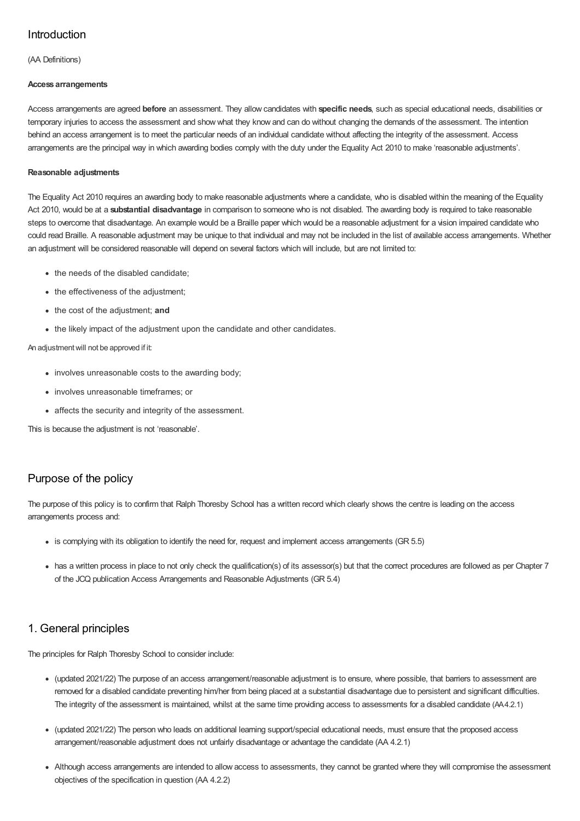# Introduction

(AA Definitions)

### **Access arrangements**

Access arrangements are agreed **before** an assessment. They allow candidates with **specific needs**, such as special educational needs, disabilities or temporary injuries to access the assessment and show what they know and can do without changing the demands of the assessment. The intention behind an access arrangement is to meet the particular needs of an individual candidate without affecting the integrity of the assessment. Access arrangements are the principal way in which awarding bodies comply with the duty under the Equality Act 2010 to make 'reasonable adjustments'.

## **Reasonable adjustments**

The Equality Act 2010 requires an awarding body to make reasonable adjustments where a candidate, who is disabled within the meaning of the Equality Act 2010, would be at a **substantial disadvantage** in comparison to someone who is not disabled. The awarding body is required to take reasonable steps to overcome that disadvantage. An example would be a Braille paper which would be a reasonable adjustment for a vision impaired candidate who could read Braille. A reasonable adjustment may be unique to that individual and may not be included in the list of available access arrangements. Whether an adjustment will be considered reasonable will depend on several factors which will include, but are not limited to:

- the needs of the disabled candidate;
- the effectiveness of the adjustment;
- the cost of the adjustment; **and**
- the likely impact of the adjustment upon the candidate and other candidates.

## An adjustmentwill not be approved if it:

- involves unreasonable costs to the awarding body:
- involves unreasonable timeframes; or
- affects the security and integrity of the assessment.

This is because the adjustment is not 'reasonable'.

# Purpose of the policy

The purpose of this policy is to confirm that Ralph Thoresby School has a written record which clearly shows the centre is leading on the access arrangements process and:

- is complying with its obligation to identify the need for, request and implement access arrangements (GR 5.5)
- has a written process in place to not only check the qualification(s) of its assessor(s) but that the correct procedures are followed as per Chapter 7 of the JCQ publication Access Arrangements and Reasonable Adjustments (GR 5.4)

# 1. General principles

The principles for Ralph Thoresby School to consider include:

- (updated 2021/22) The purpose of an access arrangement/reasonable adjustment is to ensure, where possible, that barriers to assessment are removed for a disabled candidate preventing him/her from being placed at a substantial disadvantage due to persistent and significant difficulties. The integrity of the assessment is maintained, whilst at the same time providing access to assessments for a disabled candidate (AA4.2.1)
- (updated 2021/22) The person who leads on additional learning support/special educational needs, must ensure that the proposed access arrangement/reasonable adjustment does not unfairly disadvantage or advantage the candidate (AA 4.2.1)
- Although access arrangements are intended to allow access to assessments, they cannot be granted where they will compromise the assessment objectives of the specification in question (AA 4.2.2)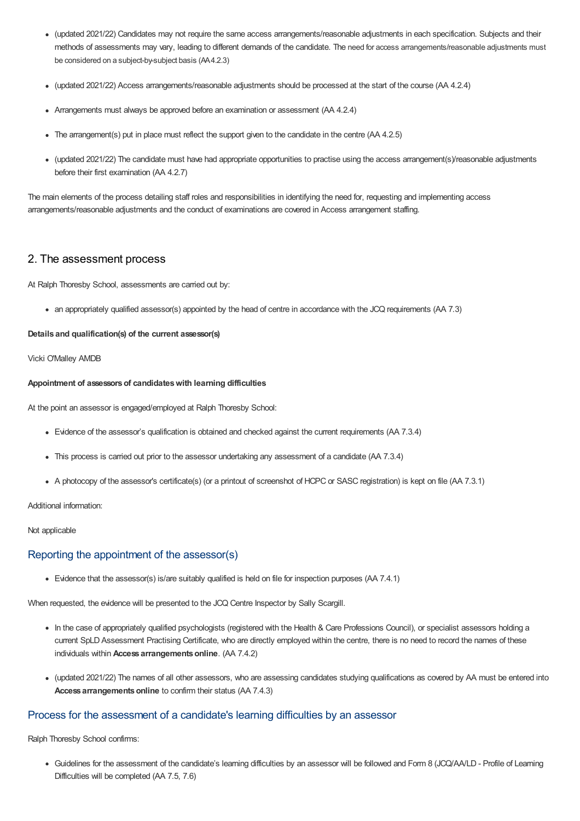- (updated 2021/22) Candidates may not require the same access arrangements/reasonable adjustments in each specification. Subjects and their methods of assessments may vary, leading to different demands of the candidate. The need for access arrangements/reasonable adjustments must be considered on a subject-by-subject basis (AA4.2.3)
- (updated 2021/22) Access arrangements/reasonable adjustments should be processed at the start of the course (AA 4.2.4)
- Arrangements must always be approved before an examination or assessment (AA 4.2.4)
- The arrangement(s) put in place must reflect the support given to the candidate in the centre (AA 4.2.5)
- (updated 2021/22) The candidate must have had appropriate opportunities to practise using the access arrangement(s)/reasonable adjustments before their first examination (AA 4.2.7)

The main elements of the process detailing staff roles and responsibilities in identifying the need for, requesting and implementing access arrangements/reasonable adjustments and the conduct of examinations are covered in Access arrangement staffing.

# 2. The assessment process

At Ralph Thoresby School, assessments are carried out by:

an appropriately qualified assessor(s) appointed by the head of centre in accordance with the JCQ requirements (AA 7.3)

### **Details and qualification(s) of the current assessor(s)**

## Vicki O'Malley AMDB

### **Appointment of assessorsof candidateswith learning difficulties**

At the point an assessor is engaged/employed at Ralph Thoresby School:

- Evidence of the assessor's qualification is obtained and checked against the current requirements (AA 7.3.4)
- This process is carried out prior to the assessor undertaking any assessment of a candidate (AA 7.3.4)
- A photocopy of the assessor's certificate(s) (or a printout of screenshot of HCPC or SASC registration) is kept on file (AA 7.3.1)

## Additional information:

## Not applicable

# Reporting the appointment of the assessor(s)

Evidence that the assessor(s) is/are suitably qualified is held on file for inspection purposes (AA 7.4.1)

When requested, the evidence will be presented to the JCQ Centre Inspector by Sally Scargill.

- In the case of appropriately qualified psychologists (registered with the Health & Care Professions Council), or specialist assessors holding a current SpLD Assessment Practising Certificate, who are directly employed within the centre, there is no need to record the names of these individuals within **Access arrangementsonline**. (AA 7.4.2)
- (updated 2021/22) The names of all other assessors, who are assessing candidates studying qualifications as covered by AA must be entered into Access arrangements online to confirm their status (AA 7.4.3)

# Process for the assessment of a candidate's learning difficulties by an assessor

Ralph Thoresby School confirms:

Guidelines for the assessment of the candidate's learning difficulties by an assessor will be followed and Form 8 (JCQ/AA/LD - Profile of Learning Difficulties will be completed (AA 7.5, 7.6)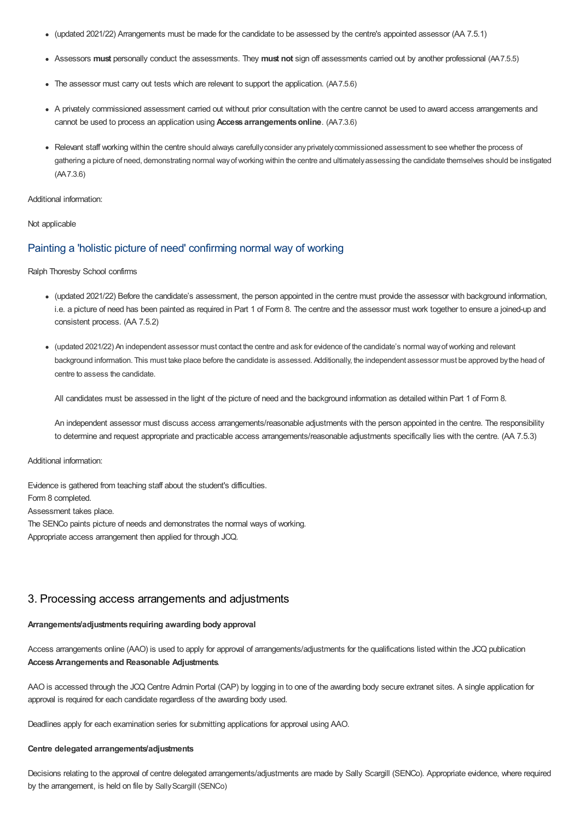- (updated 2021/22) Arrangements must be made for the candidate to be assessed by the centre's appointed assessor (AA 7.5.1)
- Assessors **must** personally conduct the assessments. They **must not** sign off assessments carried out by another professional (AA7.5.5)
- The assessor must carry out tests which are relevant to support the application. (AA7.5.6)
- A privately commissioned assessment carried out without prior consultation with the centre cannot be used to award access arrangements and cannot be used to process an application using **Access arrangementsonline**. (AA7.3.6)
- Relevant staff working within the centre should always carefully consider any privately commissioned assessment to see whether the process of gathering a picture of need, demonstrating normal wayofworking within the centre and ultimatelyassessing the candidate themselves should be instigated (AA7.3.6)

#### Additional information:

#### Not applicable

# Painting a 'holistic picture of need' confirming normal way of working

Ralph Thoresby School confirms

- (updated 2021/22) Before the candidate's assessment, the person appointed in the centre must provide the assessor with background information, i.e. a picture of need has been painted as required in Part 1 of Form 8. The centre and the assessor must work together to ensure a joined-up and consistent process. (AA 7.5.2)
- (updated 2021/22) An independent assessor must contact the centre and ask for evidence of the candidate's normal wayofworking and relevant background information. This must take place before the candidate is assessed. Additionally, the independent assessor must be approved bythe head of centre to assess the candidate.

All candidates must be assessed in the light of the picture of need and the background information as detailed within Part 1 of Form 8.

An independent assessor must discuss access arrangements/reasonable adjustments with the person appointed in the centre. The responsibility to determine and request appropriate and practicable access arrangements/reasonable adjustments specifically lies with the centre. (AA 7.5.3)

#### Additional information:

Evidence is gathered from teaching staff about the student's difficulties. Form 8 completed. Assessment takes place. The SENCo paints picture of needs and demonstrates the normal ways of working. Appropriate access arrangement then applied for through JCQ.

# 3. Processing access arrangements and adjustments

## **Arrangements/adjustments requiring awarding body approval**

Access arrangements online (AAO) is used to apply for approval of arrangements/adjustments for the qualifications listed within the JCQ publication **AccessArrangements and Reasonable Adjustments**.

AAO is accessed through the JCQ Centre Admin Portal (CAP) by logging in to one of the awarding body secure extranet sites. A single application for approval is required for each candidate regardless of the awarding body used.

Deadlines apply for each examination series for submitting applications for approval using AAO.

#### **Centre delegated arrangements/adjustments**

Decisions relating to the approval of centre delegated arrangements/adjustments are made by Sally Scargill (SENCo). Appropriate evidence, where required by the arrangement, is held on file by Sally Scargill (SENCo)